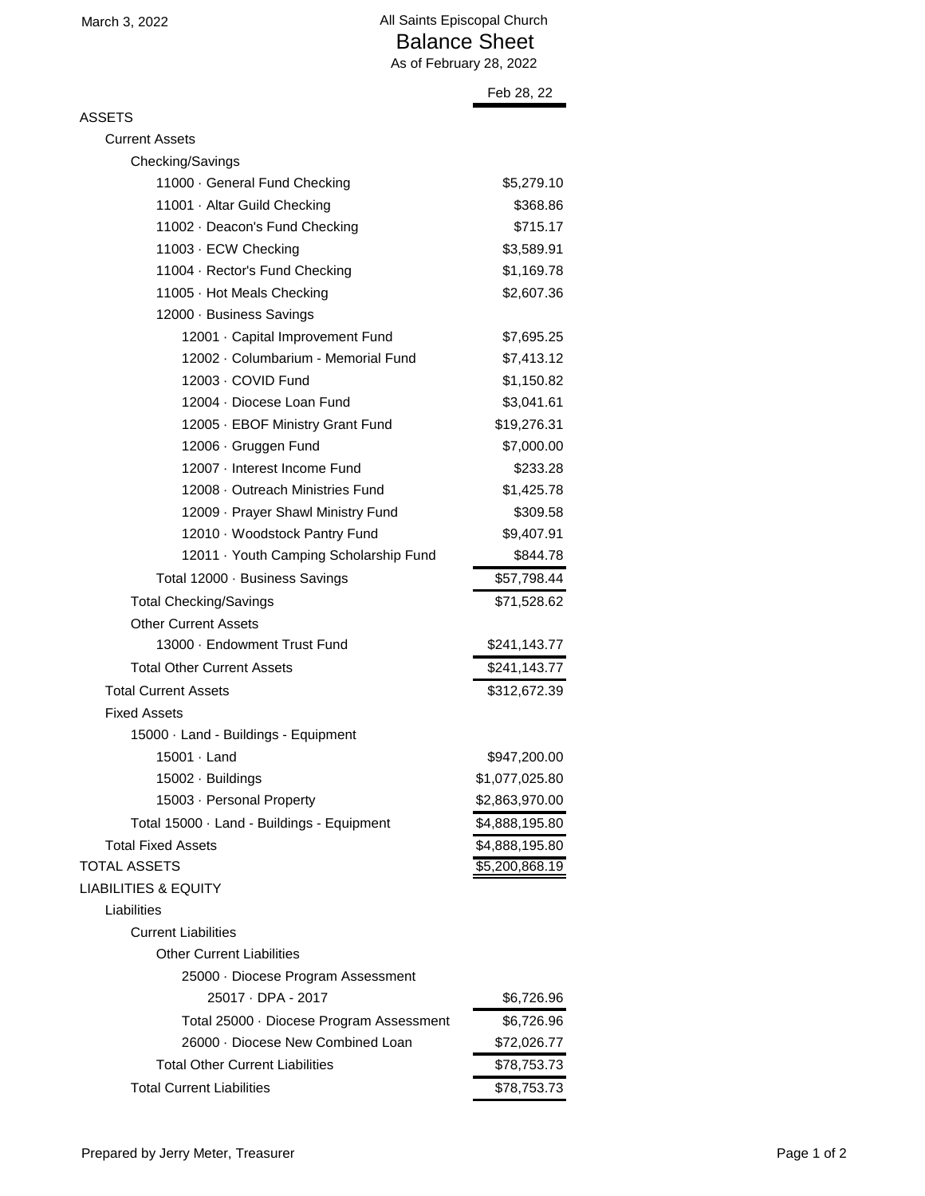|                                            | Feb 28, 22     |
|--------------------------------------------|----------------|
| ASSETS                                     |                |
| <b>Current Assets</b>                      |                |
| Checking/Savings                           |                |
| 11000 · General Fund Checking              | \$5,279.10     |
| 11001 · Altar Guild Checking               | \$368.86       |
| 11002 · Deacon's Fund Checking             | \$715.17       |
| 11003 · ECW Checking                       | \$3,589.91     |
| 11004 · Rector's Fund Checking             | \$1,169.78     |
| 11005 · Hot Meals Checking                 | \$2,607.36     |
| 12000 · Business Savings                   |                |
| 12001 · Capital Improvement Fund           | \$7,695.25     |
| 12002 · Columbarium - Memorial Fund        | \$7,413.12     |
| 12003 · COVID Fund                         | \$1,150.82     |
| 12004 · Diocese Loan Fund                  | \$3,041.61     |
| 12005 · EBOF Ministry Grant Fund           | \$19,276.31    |
| 12006 · Gruggen Fund                       | \$7,000.00     |
| 12007 · Interest Income Fund               | \$233.28       |
| 12008 - Outreach Ministries Fund           | \$1,425.78     |
| 12009 · Prayer Shawl Ministry Fund         | \$309.58       |
| 12010 · Woodstock Pantry Fund              | \$9,407.91     |
| 12011 · Youth Camping Scholarship Fund     | \$844.78       |
| Total 12000 · Business Savings             | \$57,798.44    |
| <b>Total Checking/Savings</b>              | \$71,528.62    |
| <b>Other Current Assets</b>                |                |
| 13000 · Endowment Trust Fund               | \$241,143.77   |
| <b>Total Other Current Assets</b>          | \$241,143.77   |
| <b>Total Current Assets</b>                | \$312,672.39   |
| <b>Fixed Assets</b>                        |                |
| 15000 · Land - Buildings - Equipment       |                |
| 15001 · Land                               | \$947,200.00   |
| 15002 · Buildings                          | \$1,077,025.80 |
| 15003 · Personal Property                  | \$2,863,970.00 |
| Total 15000 · Land - Buildings - Equipment | \$4,888,195.80 |
| <b>Total Fixed Assets</b>                  | \$4,888,195.80 |
| <b>TOTAL ASSETS</b>                        | \$5,200,868.19 |
| <b>LIABILITIES &amp; EQUITY</b>            |                |
| Liabilities                                |                |
| <b>Current Liabilities</b>                 |                |
| <b>Other Current Liabilities</b>           |                |
| 25000 · Diocese Program Assessment         |                |
| 25017 · DPA - 2017                         | \$6,726.96     |
| Total 25000 · Diocese Program Assessment   | \$6,726.96     |
| 26000 · Diocese New Combined Loan          | \$72,026.77    |
| <b>Total Other Current Liabilities</b>     | \$78,753.73    |
| <b>Total Current Liabilities</b>           | \$78,753.73    |